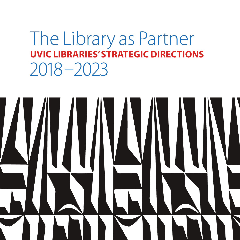## The Library as Partner **UVIC LIBRARIES' STRATEGIC DIRECTIONS**   $2018 - 2023$

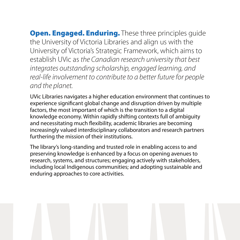**Open. Engaged. Enduring.** These three principles quide the University of Victoria Libraries and align us with the University of Victoria's Strategic Framework, which aims to establish UVic as the Canadian research university that best integrates outstanding scholarship, engaged learning, and real-life involvement to contribute to a better future for people and the planet.

UVic Libraries navigates a higher education environment that continues to experience significant global change and disruption driven by multiple factors, the most important of which is the transition to a digital knowledge economy. Within rapidly shifting contexts full of ambiguity and necessitating much flexibility, academic libraries are becoming increasingly valued interdisciplinary collaborators and research partners furthering the mission of their institutions.

The library's long-standing and trusted role in enabling access to and preserving knowledge is enhanced by a focus on opening avenues to research, systems, and structures; engaging actively with stakeholders, including local Indigenous communities; and adopting sustainable and enduring approaches to core activities.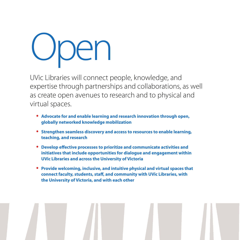## Open

UVic Libraries will connect people, knowledge, and expertise through partnerships and collaborations, as well as create open avenues to research and to physical and virtual spaces.

- **• Advocate for and enable learning and research innovation through open, globally networked knowledge mobilization**
- **• Strengthen seamless discovery and access to resources to enable learning, teaching, and research**
- **• Develop effective processes to prioritize and communicate activities and initiatives that include opportunities for dialogue and engagement within UVic Libraries and across the University of Victoria**
- **• Provide welcoming, inclusive, and intuitive physical and virtual spaces that connect faculty, students, staff, and community with UVic Libraries, with the University of Victoria, and with each other**

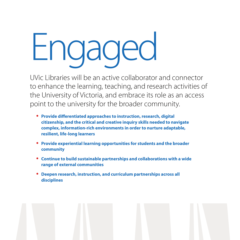## Engaged

UVic Libraries will be an active collaborator and connector to enhance the learning, teaching, and research activities of the University of Victoria, and embrace its role as an access point to the university for the broader community.

- **• Provide differentiated approaches to instruction, research, digital citizenship, and the critical and creative inquiry skills needed to navigate complex, information-rich environments in order to nurture adaptable, resilient, life-long learners**
- **• Provide experiential learning opportunities for students and the broader community**
- **• Continue to build sustainable partnerships and collaborations with a wide range of external communities**
- **• Deepen research, instruction, and curriculum partnerships across all disciplines**

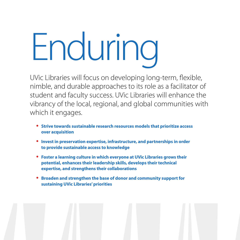## Enduring

UVic Libraries will focus on developing long-term, flexible, nimble, and durable approaches to its role as a facilitator of student and faculty success. UVic Libraries will enhance the vibrancy of the local, regional, and global communities with which it engages.

- **• Strive towards sustainable research resources models that prioritize access over acquisition**
- **• Invest in preservation expertise, infrastructure, and partnerships in order to provide sustainable access to knowledge**
- **• Foster a learning culture in which everyone at UVic Libraries grows their potential, enhances their leadership skills, develops their technical expertise, and strengthens their collaborations**
- **• Broaden and strengthen the base of donor and community support for sustaining UVic Libraries' priorities**